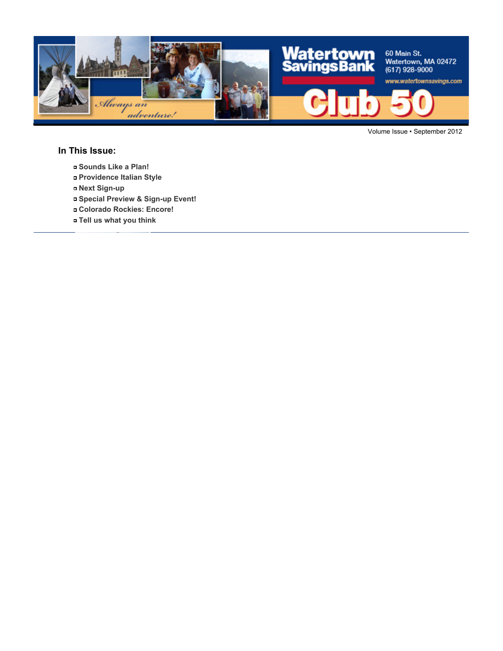

Volume Issue • September 2012

### **In This Issue:**

- **Sounds Like a Plan!**
- **Providence Italian Style**
- **Next Sign-up**
- **Special Preview & Sign-up Event!**
- **Colorado Rockies: Encore!**
- **Tell us what you think**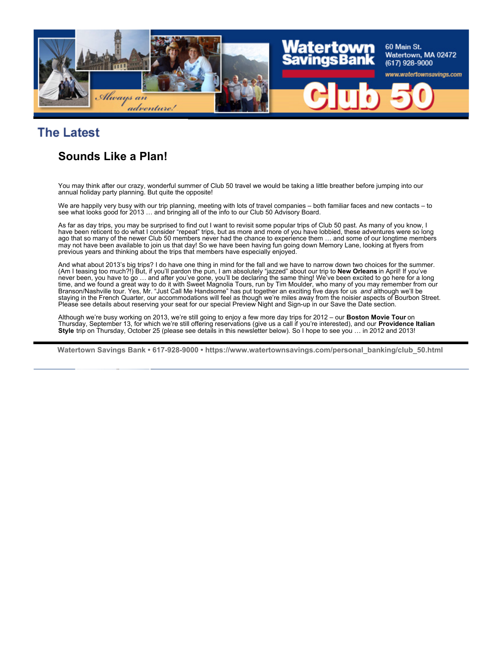

# **The Latest**

### **Sounds Like a Plan!**

You may think after our crazy, wonderful summer of Club 50 travel we would be taking a little breather before jumping into our annual holiday party planning. But quite the opposite!

We are happily very busy with our trip planning, meeting with lots of travel companies – both familiar faces and new contacts – to see what looks good for 2013 ... and bringing all of the info to our Club 50 Advisory Board.

As far as day trips, you may be surprised to find out I want to revisit some popular trips of Club 50 past. As many of you know, I have been reticent to do what I consider "repeat" trips, but as more and more of you have lobbied, these adventures were so long ago that so many of the newer Club 50 members never had the chance to experience them … and some of our longtime members may not have been available to join us that day! So we have been having fun going down Memory Lane, looking at flyers from previous years and thinking about the trips that members have especially enjoyed.

And what about 2013's big trips? I do have one thing in mind for the fall and we have to narrow down two choices for the summer. (Am I teasing too much?!) But, if you'll pardon the pun, I am absolutely "jazzed" about our trip to **New Orleans** in April! If you've never been, you have to go … and after you've gone, you'll be declaring the same thing! We've been excited to go here for a long time, and we found a great way to do it with Sweet Magnolia Tours, run by Tim Moulder, who many of you may remember from our<br>Branson/Nashville tour. Yes, Mr. "Just Call Me Handsome" has put together an exciting five days f staying in the French Quarter, our accommodations will feel as though we're miles away from the noisier aspects of Bourbon Street. Please see details about reserving your seat for our special Preview Night and Sign-up in our Save the Date section.

Although we're busy working on 2013, we're still going to enjoy a few more day trips for 2012 – our **Boston Movie Tour** on Thursday, September 13, for which we're still offering reservations (give us a call if you're interested), and our **Providence Italian Style** trip on Thursday, October 25 (please see details in this newsletter below). So I hope to see you … in 2012 and 2013!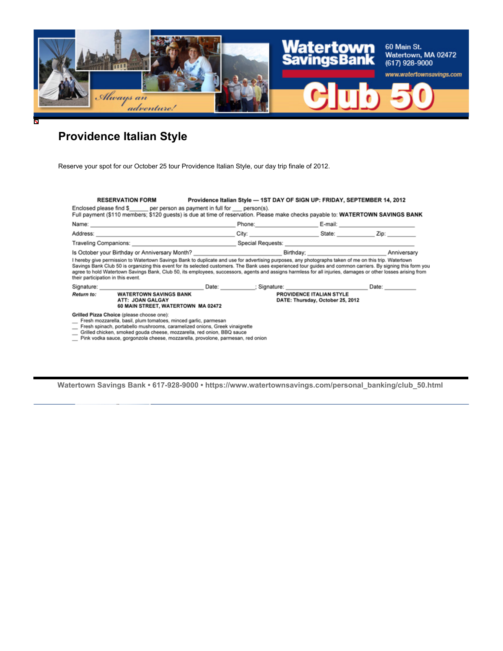

# **Providence Italian Style**

Reserve your spot for our October 25 tour Providence Italian Style, our day trip finale of 2012.

|                                    | <b>RESERVATION FORM</b><br>Enclosed please find \$ per person as payment in full for person(s).<br>Full payment (\$110 members; \$120 guests) is due at time of reservation. Please make checks payable to: WATERTOWN SAVINGS BANK                                                                                                                                                                                                                                                     | Providence Italian Style - 1ST DAY OF SIGN UP: FRIDAY, SEPTEMBER 14, 2012         |  |       |
|------------------------------------|----------------------------------------------------------------------------------------------------------------------------------------------------------------------------------------------------------------------------------------------------------------------------------------------------------------------------------------------------------------------------------------------------------------------------------------------------------------------------------------|-----------------------------------------------------------------------------------|--|-------|
|                                    |                                                                                                                                                                                                                                                                                                                                                                                                                                                                                        | Phone: 2008 2012 2012 2013 2014 2015 2016 2017 2018 2019 2017 2018 2019 2019 2017 |  |       |
|                                    |                                                                                                                                                                                                                                                                                                                                                                                                                                                                                        |                                                                                   |  |       |
|                                    |                                                                                                                                                                                                                                                                                                                                                                                                                                                                                        |                                                                                   |  |       |
| their participation in this event. | I hereby give permission to Watertown Savings Bank to duplicate and use for advertising purposes, any photographs taken of me on this trip. Watertown<br>Savings Bank Club 50 is organizing this event for its selected customers. The Bank uses experienced tour guides and common carriers. By signing this form you<br>agree to hold Watertown Savings Bank, Club 50, its employees, successors, agents and assigns harmless for all injuries, damages or other losses arising from |                                                                                   |  |       |
|                                    |                                                                                                                                                                                                                                                                                                                                                                                                                                                                                        |                                                                                   |  | Date: |
| <b>Return to:</b>                  | <b>WATERTOWN SAVINGS BANK</b><br>ATT: JOAN GALGAY<br>60 MAIN STREET, WATERTOWN MA 02472                                                                                                                                                                                                                                                                                                                                                                                                | PROVIDENCE ITALIAN STYLE<br>DATE: Thursday, October 25, 2012                      |  |       |
|                                    | Grilled Pizza Choice (please choose one):<br>Fresh mozzarella, basil, plum tomatoes, minced garlic, parmesan<br>Fresh spinach, portabello mushrooms, caramelized onions, Greek vinaigrette<br>Grilled chicken, smoked gouda cheese, mozzarella, red onion, BBQ sauce                                                                                                                                                                                                                   |                                                                                   |  |       |

Pink vodka sauce, gorgonzola cheese, mozzarella, provolone, parmesan, red onion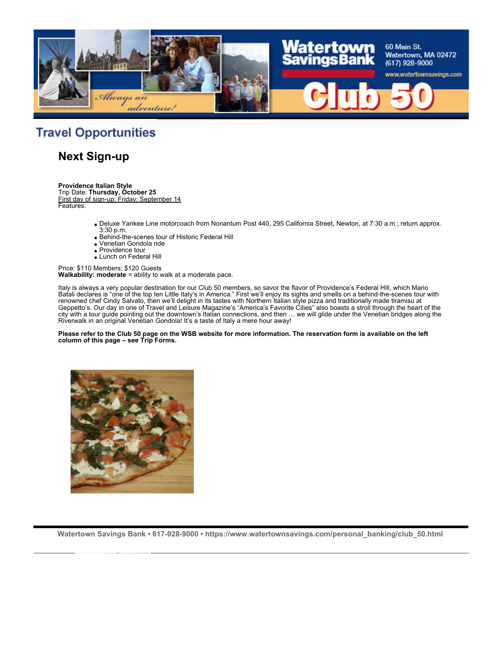

# **Travel Opportunities**

### **Next Sign-up**

**Providence Italian Style**

Trip Date: **Thursday, October 25** First day of sign-up: Friday, September 14 Features:

- Deluxe Yankee Line motorcoach from Nonantum Post 440, 295 California Street, Newton, at 7:30 a.m.; return approx. 3:30 p.m.
- Behind-the-scenes tour of Historic Federal Hill
- Venetian Gondola ride
- Providence tour
- Lunch on Federal Hill

Price: \$110 Members; \$120 Guests **Walkability: moderate** = ability to walk at a moderate pace.

Italy is always a very popular destination for our Club 50 members, so savor the flavor of Providence's Federal Hill, which Mario Batali declares is "one of the top ten Little Italy's in America." First we'll enjoy its sights and smells on a behind-the-scenes tour with renowned chef Cindy Salvato, then we'll delight in its tastes with Northern Italian style pizza and traditionally made tiramisu at Geppetto's. Our day in one of Travel and Leisure Magazine's "America's Favorite Cities" also boasts a stroll through the heart of the city with a tour guide pointing out the downtown's Italian connections, and then … we will glide under the Venetian bridges along the Riverwalk in an original Venetian Gondola! It's a taste of Italy a mere hour away!

#### **Please refer to the Club 50 page on the WSB website for more information. The reservation form is available on the left column of this page – see Trip Forms.**

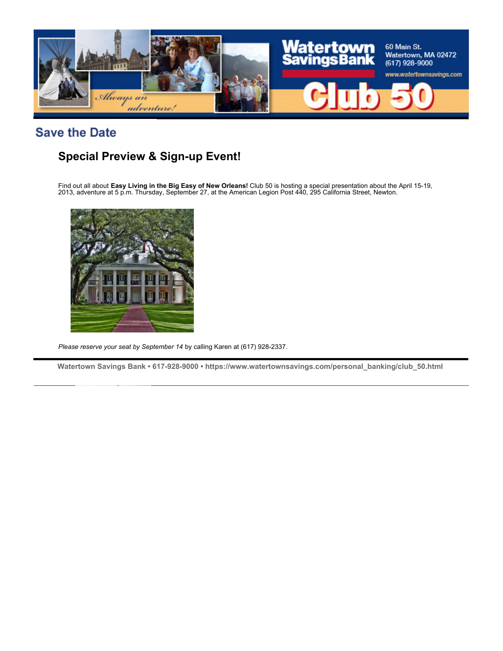

**Save the Date** 

# **Special Preview & Sign-up Event!**

Find out all about **Easy Living in the Big Easy of New Orleans!** Club 50 is hosting a special presentation about the April 15-19, 2013, adventure at 5 p.m. Thursday, September 27, at the American Legion Post 440, 295 California Street, Newton.



*Please reserve your seat by September 14* by calling Karen at (617) 928-2337.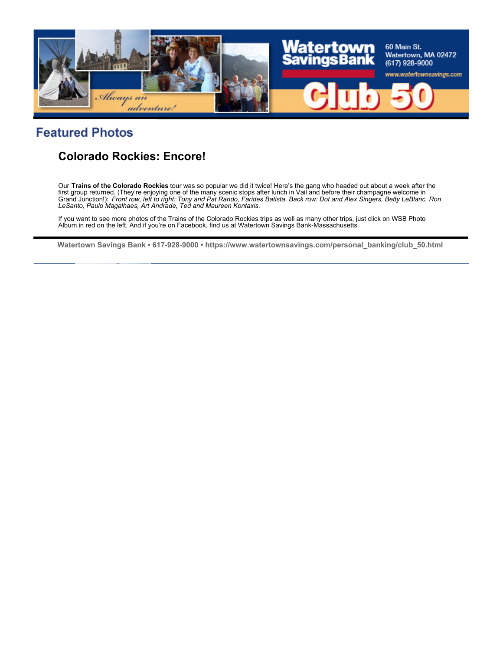

### **Featured Photos**

## **Colorado Rockies: Encore!**

Our **Trains of the Colorado Rockies** tour was so popular we did it twice! Here's the gang who headed out about a week after the first group returned. (They're enjoying one of the many scenic stops after lunch in Vail and before their champagne welcome in<br>Grand Junction!): *Front row, left to right: Tony and Pat Rando, Farides Batista. Back row: Dot* 

If you want to see more photos of the Trains of the Colorado Rockies trips as well as many other trips, just click on WSB Photo Album in red on the left. And if you're on Facebook, find us at Watertown Savings Bank-Massachusetts.